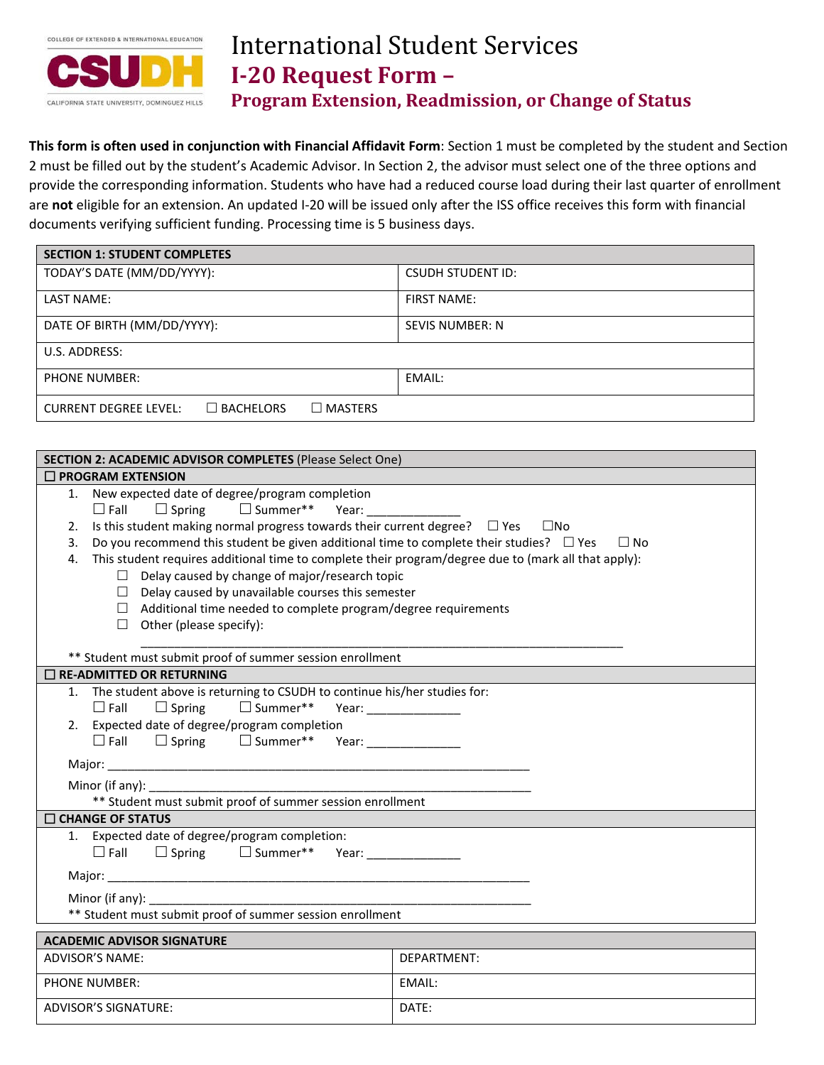

# International Student Services **I-20 Request Form – Program Extension, Readmission, or Change of Status**

**This form is often used in conjunction with Financial Affidavit Form**: Section 1 must be completed by the student and Section 2 must be filled out by the student's Academic Advisor. In Section 2, the advisor must select one of the three options and provide the corresponding information. Students who have had a reduced course load during their last quarter of enrollment are **not** eligible for an extension. An updated I-20 will be issued only after the ISS office receives this form with financial documents verifying sufficient funding. Processing time is 5 business days.

| <b>SECTION 1: STUDENT COMPLETES</b>                                   |                          |
|-----------------------------------------------------------------------|--------------------------|
| TODAY'S DATE (MM/DD/YYYY):                                            | <b>CSUDH STUDENT ID:</b> |
| <b>LAST NAME:</b>                                                     | <b>FIRST NAME:</b>       |
| DATE OF BIRTH (MM/DD/YYYY):                                           | <b>SEVIS NUMBER: N</b>   |
| U.S. ADDRESS:                                                         |                          |
| <b>PHONE NUMBER:</b>                                                  | EMAIL:                   |
| $\Box$ BACHELORS<br><b>CURRENT DEGREE LEVEL:</b><br>$\square$ MASTERS |                          |

| SECTION 2: ACADEMIC ADVISOR COMPLETES (Please Select One)                                                  |                                                    |  |  |  |
|------------------------------------------------------------------------------------------------------------|----------------------------------------------------|--|--|--|
| $\Box$ PROGRAM EXTENSION                                                                                   |                                                    |  |  |  |
| New expected date of degree/program completion<br>1.                                                       |                                                    |  |  |  |
|                                                                                                            | $\square$ Summer**<br>$\Box$ Fall<br>$\Box$ Spring |  |  |  |
| Is this student making normal progress towards their current degree? $\Box$ Yes $\Box$ No<br>2.            |                                                    |  |  |  |
| Do you recommend this student be given additional time to complete their studies? $\Box$ Yes<br>3.         | $\Box$ No                                          |  |  |  |
| This student requires additional time to complete their program/degree due to (mark all that apply):<br>4. |                                                    |  |  |  |
| $\Box$ Delay caused by change of major/research topic                                                      |                                                    |  |  |  |
| $\Box$ Delay caused by unavailable courses this semester                                                   |                                                    |  |  |  |
| $\Box$ Additional time needed to complete program/degree requirements                                      |                                                    |  |  |  |
| $\Box$ Other (please specify):                                                                             |                                                    |  |  |  |
|                                                                                                            |                                                    |  |  |  |
| ** Student must submit proof of summer session enrollment                                                  |                                                    |  |  |  |
| $\square$ RE-ADMITTED OR RETURNING                                                                         |                                                    |  |  |  |
| 1. The student above is returning to CSUDH to continue his/her studies for:                                |                                                    |  |  |  |
| $\square$ Summer**<br>$\Box$ Spring<br>$\Box$ Fall                                                         | Year: ________________                             |  |  |  |
| 2. Expected date of degree/program completion                                                              |                                                    |  |  |  |
| □ Summer** Year: ______________<br>$\square$ Fall<br>$\Box$ Spring                                         |                                                    |  |  |  |
|                                                                                                            |                                                    |  |  |  |
|                                                                                                            |                                                    |  |  |  |
| ** Student must submit proof of summer session enrollment                                                  |                                                    |  |  |  |
| <b>CHANGE OF STATUS</b>                                                                                    |                                                    |  |  |  |
| 1. Expected date of degree/program completion:                                                             |                                                    |  |  |  |
| $\Box$ Fall $\Box$ Spring $\Box$ Summer** Year: _______________                                            |                                                    |  |  |  |
|                                                                                                            |                                                    |  |  |  |
|                                                                                                            |                                                    |  |  |  |
| ** Student must submit proof of summer session enrollment                                                  |                                                    |  |  |  |
|                                                                                                            |                                                    |  |  |  |
| <b>ACADEMIC ADVISOR SIGNATURE</b><br><b>ADVISOR'S NAME:</b><br>DEPARTMENT:                                 |                                                    |  |  |  |
|                                                                                                            |                                                    |  |  |  |
| <b>PHONE NUMBER:</b>                                                                                       | EMAIL:                                             |  |  |  |
| <b>ADVISOR'S SIGNATURE:</b>                                                                                | DATE:                                              |  |  |  |